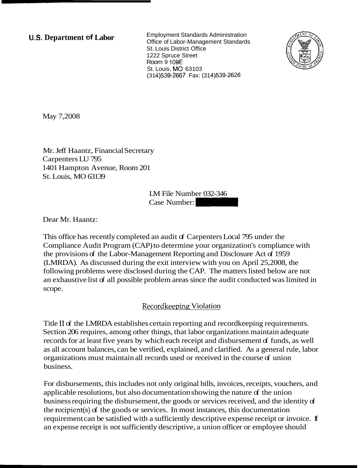**U.S. Department of Labor Employment Standards Administration** Office of Labor-Management Standards St. Louis District Office 1222 Spruce Street Room 9 **109E**  St. Louis, MO 63103 (314) 539-2667 Fax: (314) 539-2626



May 7,2008

Mr. Jeff Haantz, Financial Secretary Carpenters LU 795 1401 Hampton Avenue, Room 201 St. Louis, MO 63139

LM File Number 032-346 ry<br>|<br>| LM File Number: 032-346<br>| Case Number: 032-346<br>|

Dear Mr. Haantz:

This office has recently completed an audit of Carpenters Local 795 under the Compliance Audit Program (CAP) to determine your organization's compliance with the provisions of the Labor-Management Reporting and Disclosure Act of 1959 (LMRDA). As discussed during the exit interview with you on April 25,2008, the following problems were disclosed during the CAP. The matters listed below are not an exhaustive list of all possible problem areas since the audit conducted was limited in scope.

## Recordkeeping Violation

Title II of the LMRDA establishes certain reporting and record keeping requirements. Section 206 requires, among other things, that labor organizations maintain adequate records for at least five years by which each receipt and disbursement of funds, as well as all account balances, can be verified, explained, and clarified. As a general rule, labor organizations must maintain all records used or received in the course of union business.

For disbursements, this includes not only original bills, invoices, receipts, vouchers, and applicable resolutions, but also documentation showing the nature of the union business requiring the disbursement, the goods or services received, and the identity of the recipient(s) of the goods or services. In most instances, this documentation requirement can be satisfied with a sufficiently descriptive expense receipt or invoice. If an expense receipt is not sufficiently descriptive, a union officer or employee should